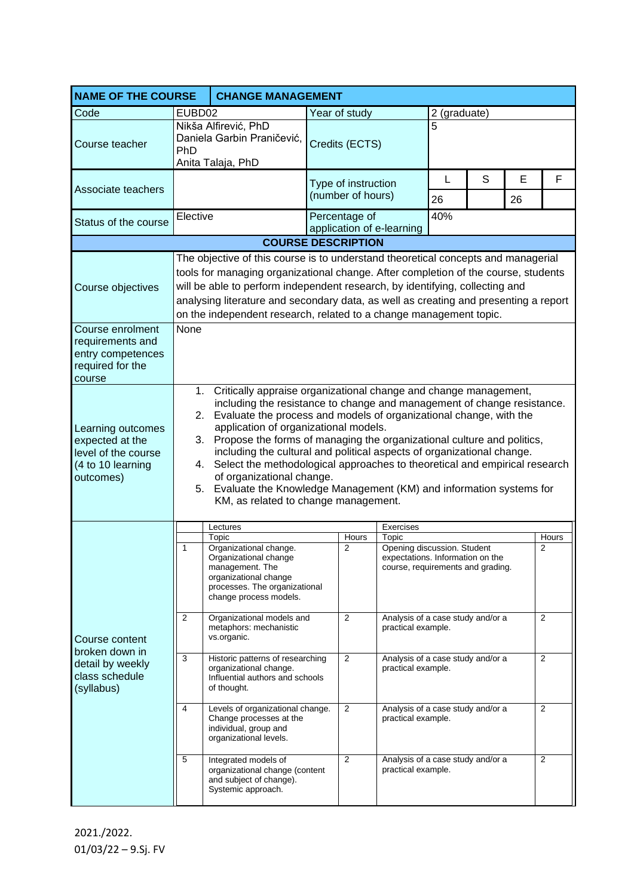| <b>NAME OF THE COURSE</b><br><b>CHANGE MANAGEMENT</b>                                         |                                                                                                                                                                                                                                                                                                                                                                                                                                                                                                                                                                                                                                                           |                                                                                                                                                                 |                                      |                                          |                                                                                                               |                                                     |   |         |                |
|-----------------------------------------------------------------------------------------------|-----------------------------------------------------------------------------------------------------------------------------------------------------------------------------------------------------------------------------------------------------------------------------------------------------------------------------------------------------------------------------------------------------------------------------------------------------------------------------------------------------------------------------------------------------------------------------------------------------------------------------------------------------------|-----------------------------------------------------------------------------------------------------------------------------------------------------------------|--------------------------------------|------------------------------------------|---------------------------------------------------------------------------------------------------------------|-----------------------------------------------------|---|---------|----------------|
| Code                                                                                          | EUBD02                                                                                                                                                                                                                                                                                                                                                                                                                                                                                                                                                                                                                                                    |                                                                                                                                                                 | Year of study                        |                                          |                                                                                                               | 2 (graduate)                                        |   |         |                |
| Course teacher                                                                                | PhD                                                                                                                                                                                                                                                                                                                                                                                                                                                                                                                                                                                                                                                       | Nikša Alfirević, PhD<br>Daniela Garbin Praničević,<br>Anita Talaja, PhD                                                                                         |                                      | Credits (ECTS)                           |                                                                                                               | 5                                                   |   |         |                |
| Associate teachers                                                                            |                                                                                                                                                                                                                                                                                                                                                                                                                                                                                                                                                                                                                                                           |                                                                                                                                                                 |                                      | Type of instruction<br>(number of hours) |                                                                                                               |                                                     | S | E<br>26 | F              |
| Status of the course                                                                          | Elective                                                                                                                                                                                                                                                                                                                                                                                                                                                                                                                                                                                                                                                  |                                                                                                                                                                 |                                      | Percentage of                            | application of e-learning                                                                                     | 26<br>40%                                           |   |         |                |
|                                                                                               |                                                                                                                                                                                                                                                                                                                                                                                                                                                                                                                                                                                                                                                           | <b>COURSE DESCRIPTION</b>                                                                                                                                       |                                      |                                          |                                                                                                               |                                                     |   |         |                |
| Course objectives                                                                             | The objective of this course is to understand theoretical concepts and managerial<br>tools for managing organizational change. After completion of the course, students<br>will be able to perform independent research, by identifying, collecting and<br>analysing literature and secondary data, as well as creating and presenting a report<br>on the independent research, related to a change management topic.                                                                                                                                                                                                                                     |                                                                                                                                                                 |                                      |                                          |                                                                                                               |                                                     |   |         |                |
| Course enrolment<br>requirements and<br>entry competences<br>required for the<br>course       | None                                                                                                                                                                                                                                                                                                                                                                                                                                                                                                                                                                                                                                                      |                                                                                                                                                                 |                                      |                                          |                                                                                                               |                                                     |   |         |                |
| Learning outcomes<br>expected at the<br>level of the course<br>(4 to 10 learning<br>outcomes) | 1. Critically appraise organizational change and change management,<br>including the resistance to change and management of change resistance.<br>2. Evaluate the process and models of organizational change, with the<br>application of organizational models.<br>3. Propose the forms of managing the organizational culture and politics,<br>including the cultural and political aspects of organizational change.<br>Select the methodological approaches to theoretical and empirical research<br>4.<br>of organizational change.<br>5. Evaluate the Knowledge Management (KM) and information systems for<br>KM, as related to change management. |                                                                                                                                                                 |                                      |                                          |                                                                                                               |                                                     |   |         |                |
|                                                                                               |                                                                                                                                                                                                                                                                                                                                                                                                                                                                                                                                                                                                                                                           | Exercises<br>Lectures                                                                                                                                           |                                      |                                          |                                                                                                               |                                                     |   |         |                |
| Course content<br>broken down in<br>detail by weekly<br>class schedule<br>(syllabus)          | 1                                                                                                                                                                                                                                                                                                                                                                                                                                                                                                                                                                                                                                                         | Topic<br>Organizational change.<br>Organizational change<br>management. The<br>organizational change<br>processes. The organizational<br>change process models. |                                      | Hours<br>$\overline{2}$                  | Topic<br>Opening discussion. Student<br>expectations. Information on the<br>course, requirements and grading. |                                                     |   |         | Hours<br>2     |
|                                                                                               | 2                                                                                                                                                                                                                                                                                                                                                                                                                                                                                                                                                                                                                                                         | Organizational models and<br>metaphors: mechanistic<br>vs.organic.                                                                                              | 2<br>practical example.              |                                          |                                                                                                               | Analysis of a case study and/or a<br>$\overline{2}$ |   |         |                |
|                                                                                               | 3                                                                                                                                                                                                                                                                                                                                                                                                                                                                                                                                                                                                                                                         | Historic patterns of researching<br>organizational change.<br>Influential authors and schools<br>of thought.                                                    | 2<br>practical example.              |                                          | Analysis of a case study and/or a<br>2                                                                        |                                                     |   |         |                |
|                                                                                               | 4                                                                                                                                                                                                                                                                                                                                                                                                                                                                                                                                                                                                                                                         | Levels of organizational change.<br>Change processes at the<br>individual, group and<br>organizational levels.                                                  | $\overline{2}$<br>practical example. |                                          |                                                                                                               | 2<br>Analysis of a case study and/or a              |   |         |                |
|                                                                                               | 5                                                                                                                                                                                                                                                                                                                                                                                                                                                                                                                                                                                                                                                         | Integrated models of<br>organizational change (content<br>and subject of change).<br>Systemic approach.                                                         |                                      | 2                                        | Analysis of a case study and/or a<br>practical example.                                                       |                                                     |   |         | $\overline{2}$ |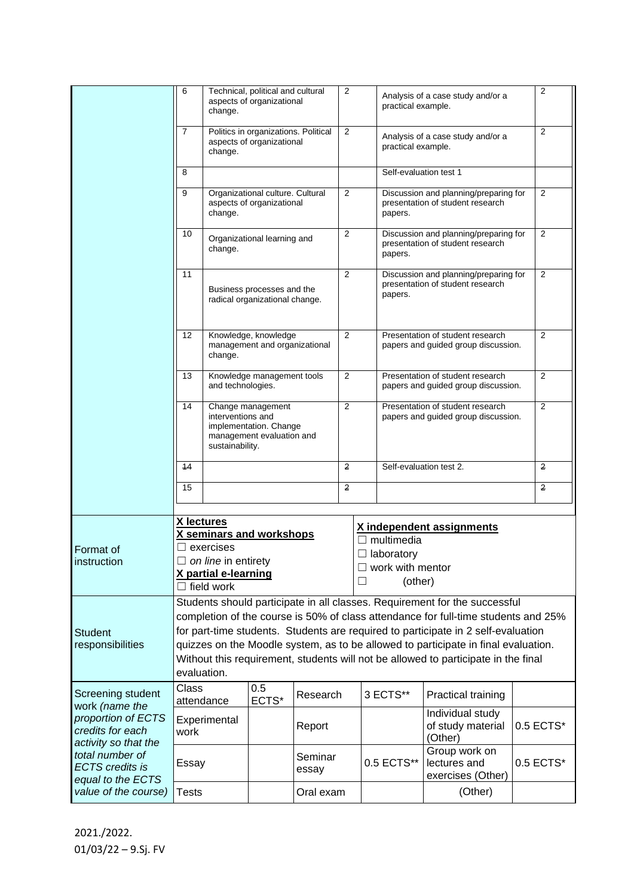|                                                                                                                                                                         | 6                                                                                                                                                                                                                                                                                                                                                                                                                                                | Technical, political and cultural<br>aspects of organizational<br>change.                                                                                           |                                                               | $\overline{2}$   |        | practical example. | Analysis of a case study and/or a                                                    | $\overline{2}$                                                            |                |  |
|-------------------------------------------------------------------------------------------------------------------------------------------------------------------------|--------------------------------------------------------------------------------------------------------------------------------------------------------------------------------------------------------------------------------------------------------------------------------------------------------------------------------------------------------------------------------------------------------------------------------------------------|---------------------------------------------------------------------------------------------------------------------------------------------------------------------|---------------------------------------------------------------|------------------|--------|--------------------|--------------------------------------------------------------------------------------|---------------------------------------------------------------------------|----------------|--|
|                                                                                                                                                                         | $\overline{7}$<br>Politics in organizations. Political<br>aspects of organizational<br>change.                                                                                                                                                                                                                                                                                                                                                   |                                                                                                                                                                     |                                                               |                  | 2      |                    | Analysis of a case study and/or a<br>practical example.                              |                                                                           |                |  |
|                                                                                                                                                                         | 8                                                                                                                                                                                                                                                                                                                                                                                                                                                |                                                                                                                                                                     |                                                               |                  |        |                    | Self-evaluation test 1                                                               |                                                                           |                |  |
|                                                                                                                                                                         | 9                                                                                                                                                                                                                                                                                                                                                                                                                                                | change.                                                                                                                                                             | Organizational culture. Cultural<br>aspects of organizational |                  | 2      |                    | papers.                                                                              | Discussion and planning/preparing for<br>presentation of student research | 2              |  |
|                                                                                                                                                                         | 10                                                                                                                                                                                                                                                                                                                                                                                                                                               | Organizational learning and<br>change.                                                                                                                              |                                                               |                  | 2      |                    | Discussion and planning/preparing for<br>presentation of student research<br>papers. | $\overline{2}$                                                            |                |  |
|                                                                                                                                                                         | 11                                                                                                                                                                                                                                                                                                                                                                                                                                               | Business processes and the<br>radical organizational change.                                                                                                        |                                                               |                  |        |                    | Discussion and planning/preparing for<br>presentation of student research<br>papers. | 2                                                                         |                |  |
|                                                                                                                                                                         | $12 \overline{ }$                                                                                                                                                                                                                                                                                                                                                                                                                                | Knowledge, knowledge<br>management and organizational<br>change.                                                                                                    |                                                               |                  | 2      |                    | Presentation of student research<br>papers and guided group discussion.              | 2                                                                         |                |  |
|                                                                                                                                                                         | 13                                                                                                                                                                                                                                                                                                                                                                                                                                               | Knowledge management tools<br>and technologies.<br>Change management<br>interventions and<br>implementation. Change<br>management evaluation and<br>sustainability. |                                                               |                  | 2      |                    | Presentation of student research<br>papers and guided group discussion.              | 2                                                                         |                |  |
|                                                                                                                                                                         | 14                                                                                                                                                                                                                                                                                                                                                                                                                                               |                                                                                                                                                                     |                                                               |                  | 2      |                    | Presentation of student research<br>papers and guided group discussion.              | 2                                                                         |                |  |
|                                                                                                                                                                         | 14                                                                                                                                                                                                                                                                                                                                                                                                                                               |                                                                                                                                                                     |                                                               |                  | 2      |                    | Self-evaluation test 2.                                                              |                                                                           | $\overline{2}$ |  |
|                                                                                                                                                                         | 15                                                                                                                                                                                                                                                                                                                                                                                                                                               |                                                                                                                                                                     |                                                               |                  | 2      |                    |                                                                                      |                                                                           | $\overline{2}$ |  |
| Format of<br>instruction                                                                                                                                                | X lectures<br>X independent assignments<br>X seminars and workshops<br>$\Box$ multimedia<br>$\Box$ exercises<br>$\Box$ laboratory<br>$\Box$ on line in entirety<br>$\Box$ work with mentor<br>X partial e-learning<br>Г<br>(other)<br>$\Box$ field work                                                                                                                                                                                          |                                                                                                                                                                     |                                                               |                  |        |                    |                                                                                      |                                                                           |                |  |
| <b>Student</b><br>responsibilities                                                                                                                                      | Students should participate in all classes. Requirement for the successful<br>completion of the course is 50% of class attendance for full-time students and 25%<br>for part-time students. Students are required to participate in 2 self-evaluation<br>quizzes on the Moodle system, as to be allowed to participate in final evaluation.<br>Without this requirement, students will not be allowed to participate in the final<br>evaluation. |                                                                                                                                                                     |                                                               |                  |        |                    |                                                                                      |                                                                           |                |  |
| Screening student<br>work (name the<br>proportion of ECTS<br>credits for each<br>activity so that the<br>total number of<br><b>ECTS</b> credits is<br>equal to the ECTS | Class                                                                                                                                                                                                                                                                                                                                                                                                                                            | attendance                                                                                                                                                          | 0.5<br>ECTS*                                                  | Research         |        |                    | 3 ECTS**                                                                             | Practical training                                                        |                |  |
|                                                                                                                                                                         | work                                                                                                                                                                                                                                                                                                                                                                                                                                             | Experimental                                                                                                                                                        |                                                               |                  | Report |                    |                                                                                      | Individual study<br>of study material<br>(Other)                          | 0.5 ECTS*      |  |
|                                                                                                                                                                         | Essay                                                                                                                                                                                                                                                                                                                                                                                                                                            |                                                                                                                                                                     |                                                               | Seminar<br>essay |        |                    | 0.5 ECTS**                                                                           | Group work on<br>lectures and<br>exercises (Other)                        | 0.5 ECTS*      |  |
| value of the course)                                                                                                                                                    | <b>Tests</b>                                                                                                                                                                                                                                                                                                                                                                                                                                     |                                                                                                                                                                     |                                                               | Oral exam        |        |                    |                                                                                      | (Other)                                                                   |                |  |

2021./2022. 01/03/22 – 9.Sj. FV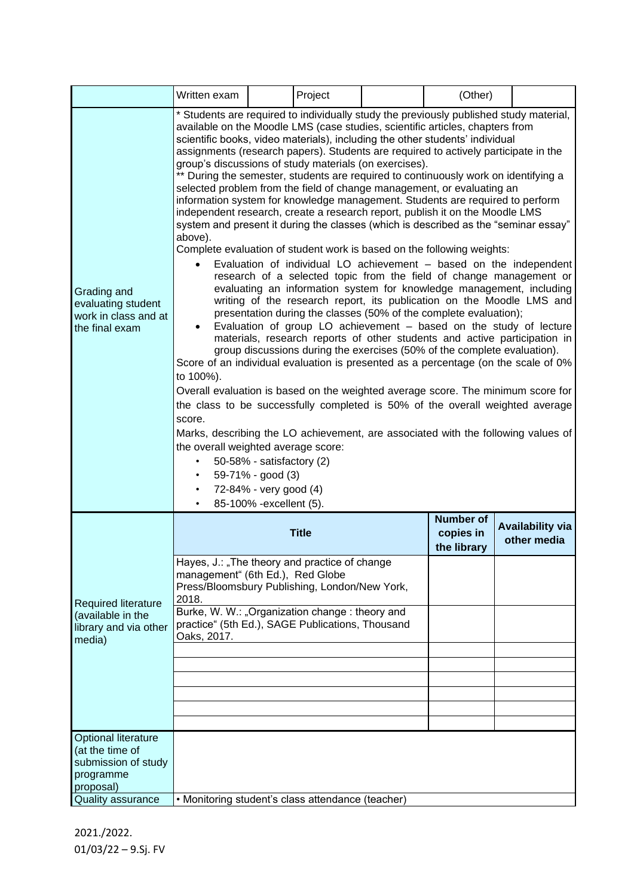|                                                                                                | Written exam                                                                                                                                                                                                                                                                                                                                                                                                                                                                                                                                                                                                                                                                                                                                                                                                                                                                                                                                                                                                                                                                                                                                                                                                                                                                                                                                                                                                                                                                                                                                                                                                                                                                                                                                                                                                                                                                                                                                                                                                                    |              | Project                                      |                                        | (Other) |  |  |
|------------------------------------------------------------------------------------------------|---------------------------------------------------------------------------------------------------------------------------------------------------------------------------------------------------------------------------------------------------------------------------------------------------------------------------------------------------------------------------------------------------------------------------------------------------------------------------------------------------------------------------------------------------------------------------------------------------------------------------------------------------------------------------------------------------------------------------------------------------------------------------------------------------------------------------------------------------------------------------------------------------------------------------------------------------------------------------------------------------------------------------------------------------------------------------------------------------------------------------------------------------------------------------------------------------------------------------------------------------------------------------------------------------------------------------------------------------------------------------------------------------------------------------------------------------------------------------------------------------------------------------------------------------------------------------------------------------------------------------------------------------------------------------------------------------------------------------------------------------------------------------------------------------------------------------------------------------------------------------------------------------------------------------------------------------------------------------------------------------------------------------------|--------------|----------------------------------------------|----------------------------------------|---------|--|--|
| Grading and<br>evaluating student<br>work in class and at<br>the final exam                    | * Students are required to individually study the previously published study material,<br>available on the Moodle LMS (case studies, scientific articles, chapters from<br>scientific books, video materials), including the other students' individual<br>assignments (research papers). Students are required to actively participate in the<br>group's discussions of study materials (on exercises).<br>** During the semester, students are required to continuously work on identifying a<br>selected problem from the field of change management, or evaluating an<br>information system for knowledge management. Students are required to perform<br>independent research, create a research report, publish it on the Moodle LMS<br>system and present it during the classes (which is described as the "seminar essay"<br>above).<br>Complete evaluation of student work is based on the following weights:<br>Evaluation of individual LO achievement - based on the independent<br>$\bullet$<br>research of a selected topic from the field of change management or<br>evaluating an information system for knowledge management, including<br>writing of the research report, its publication on the Moodle LMS and<br>presentation during the classes (50% of the complete evaluation);<br>Evaluation of group LO achievement - based on the study of lecture<br>materials, research reports of other students and active participation in<br>group discussions during the exercises (50% of the complete evaluation).<br>Score of an individual evaluation is presented as a percentage (on the scale of 0%<br>to 100%).<br>Overall evaluation is based on the weighted average score. The minimum score for<br>the class to be successfully completed is 50% of the overall weighted average<br>score.<br>Marks, describing the LO achievement, are associated with the following values of<br>the overall weighted average score:<br>50-58% - satisfactory (2)<br>59-71% - good (3)<br>72-84% - very good (4) |              |                                              |                                        |         |  |  |
| <b>Required literature</b><br>(available in the<br>library and via other<br>media)             |                                                                                                                                                                                                                                                                                                                                                                                                                                                                                                                                                                                                                                                                                                                                                                                                                                                                                                                                                                                                                                                                                                                                                                                                                                                                                                                                                                                                                                                                                                                                                                                                                                                                                                                                                                                                                                                                                                                                                                                                                                 | <b>Title</b> | <b>Number of</b><br>copies in<br>the library | <b>Availability via</b><br>other media |         |  |  |
|                                                                                                | Hayes, J.: "The theory and practice of change<br>management" (6th Ed.), Red Globe<br>Press/Bloomsbury Publishing, London/New York,<br>2018.<br>Burke, W. W.: "Organization change: theory and<br>practice" (5th Ed.), SAGE Publications, Thousand                                                                                                                                                                                                                                                                                                                                                                                                                                                                                                                                                                                                                                                                                                                                                                                                                                                                                                                                                                                                                                                                                                                                                                                                                                                                                                                                                                                                                                                                                                                                                                                                                                                                                                                                                                               |              |                                              |                                        |         |  |  |
|                                                                                                | Oaks, 2017.                                                                                                                                                                                                                                                                                                                                                                                                                                                                                                                                                                                                                                                                                                                                                                                                                                                                                                                                                                                                                                                                                                                                                                                                                                                                                                                                                                                                                                                                                                                                                                                                                                                                                                                                                                                                                                                                                                                                                                                                                     |              |                                              |                                        |         |  |  |
|                                                                                                |                                                                                                                                                                                                                                                                                                                                                                                                                                                                                                                                                                                                                                                                                                                                                                                                                                                                                                                                                                                                                                                                                                                                                                                                                                                                                                                                                                                                                                                                                                                                                                                                                                                                                                                                                                                                                                                                                                                                                                                                                                 |              |                                              |                                        |         |  |  |
|                                                                                                |                                                                                                                                                                                                                                                                                                                                                                                                                                                                                                                                                                                                                                                                                                                                                                                                                                                                                                                                                                                                                                                                                                                                                                                                                                                                                                                                                                                                                                                                                                                                                                                                                                                                                                                                                                                                                                                                                                                                                                                                                                 |              |                                              |                                        |         |  |  |
| <b>Optional literature</b><br>(at the time of<br>submission of study<br>programme<br>proposal) |                                                                                                                                                                                                                                                                                                                                                                                                                                                                                                                                                                                                                                                                                                                                                                                                                                                                                                                                                                                                                                                                                                                                                                                                                                                                                                                                                                                                                                                                                                                                                                                                                                                                                                                                                                                                                                                                                                                                                                                                                                 |              |                                              |                                        |         |  |  |
| Quality assurance                                                                              | • Monitoring student's class attendance (teacher)                                                                                                                                                                                                                                                                                                                                                                                                                                                                                                                                                                                                                                                                                                                                                                                                                                                                                                                                                                                                                                                                                                                                                                                                                                                                                                                                                                                                                                                                                                                                                                                                                                                                                                                                                                                                                                                                                                                                                                               |              |                                              |                                        |         |  |  |